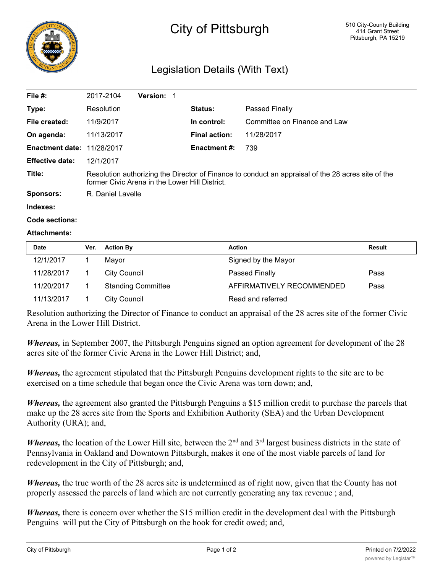

## City of Pittsburgh

## Legislation Details (With Text)

| File #:                           | 2017-2104                                                                                                                                            | <b>Version:</b> |                      |                              |  |  |
|-----------------------------------|------------------------------------------------------------------------------------------------------------------------------------------------------|-----------------|----------------------|------------------------------|--|--|
| Type:                             | Resolution                                                                                                                                           |                 | Status:              | Passed Finally               |  |  |
| File created:                     | 11/9/2017                                                                                                                                            |                 | In control:          | Committee on Finance and Law |  |  |
| On agenda:                        | 11/13/2017                                                                                                                                           |                 | <b>Final action:</b> | 11/28/2017                   |  |  |
| <b>Enactment date: 11/28/2017</b> |                                                                                                                                                      |                 | <b>Enactment #:</b>  | 739                          |  |  |
| <b>Effective date:</b>            | 12/1/2017                                                                                                                                            |                 |                      |                              |  |  |
| Title:                            | Resolution authorizing the Director of Finance to conduct an appraisal of the 28 acres site of the<br>former Civic Arena in the Lower Hill District. |                 |                      |                              |  |  |
| Sponsors:                         | R. Daniel Lavelle                                                                                                                                    |                 |                      |                              |  |  |

**Indexes:**

```
Code sections:
```
## **Attachments:**

| <b>Date</b> | Ver. | <b>Action By</b>          | <b>Action</b>             | Result |
|-------------|------|---------------------------|---------------------------|--------|
| 12/1/2017   |      | Mayor                     | Signed by the Mayor       |        |
| 11/28/2017  |      | City Council              | Passed Finally            | Pass   |
| 11/20/2017  |      | <b>Standing Committee</b> | AFFIRMATIVELY RECOMMENDED | Pass   |
| 11/13/2017  |      | City Council              | Read and referred         |        |

Resolution authorizing the Director of Finance to conduct an appraisal of the 28 acres site of the former Civic Arena in the Lower Hill District.

*Whereas,* in September 2007, the Pittsburgh Penguins signed an option agreement for development of the 28 acres site of the former Civic Arena in the Lower Hill District; and,

*Whereas,* the agreement stipulated that the Pittsburgh Penguins development rights to the site are to be exercised on a time schedule that began once the Civic Arena was torn down; and,

*Whereas,* the agreement also granted the Pittsburgh Penguins a \$15 million credit to purchase the parcels that make up the 28 acres site from the Sports and Exhibition Authority (SEA) and the Urban Development Authority (URA); and,

*Whereas*, the location of the Lower Hill site, between the 2<sup>nd</sup> and 3<sup>rd</sup> largest business districts in the state of Pennsylvania in Oakland and Downtown Pittsburgh, makes it one of the most viable parcels of land for redevelopment in the City of Pittsburgh; and,

*Whereas,* the true worth of the 28 acres site is undetermined as of right now, given that the County has not properly assessed the parcels of land which are not currently generating any tax revenue ; and,

*Whereas*, there is concern over whether the \$15 million credit in the development deal with the Pittsburgh Penguins will put the City of Pittsburgh on the hook for credit owed; and,